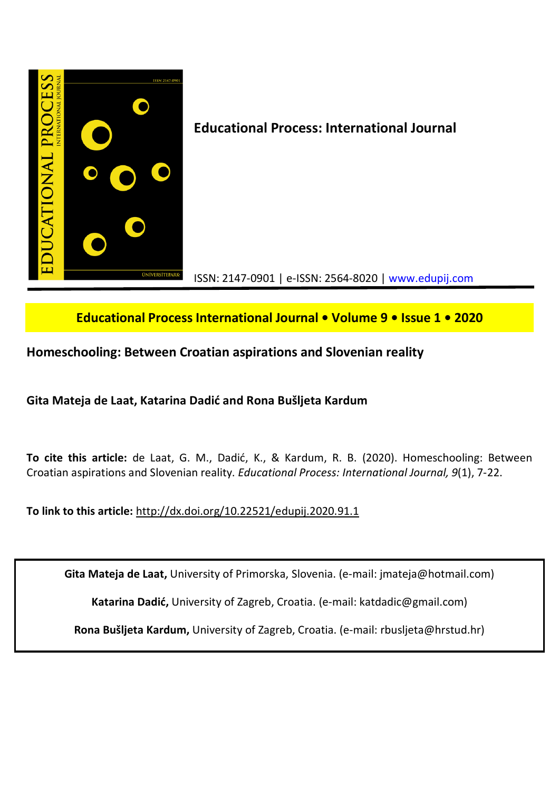

# **Educational Process International Journal • Volume 9 • Issue 1 • 2020**

# **Homeschooling: Between Croatian aspirations and Slovenian reality**

**Gita Mateja de Laat, Katarina Dadić and Rona Bušljeta Kardum**

**To cite this article:** de Laat, G. M., Dadić, K., & Kardum, R. B. (2020). Homeschooling: Between Croatian aspirations and Slovenian reality. *Educational Process: International Journal, 9*(1), 7-22.

**To link to this article:** http://dx.doi.org/10.22521/edupij.2020.91.1

**Gita Mateja de Laat,** University of Primorska, Slovenia. (e-mail: jmateja@hotmail.com)

**Katarina Dadić,** University of Zagreb, Croatia. (e-mail: katdadic@gmail.com)

**Rona Bušljeta Kardum,** University of Zagreb, Croatia. (e-mail: rbusljeta@hrstud.hr)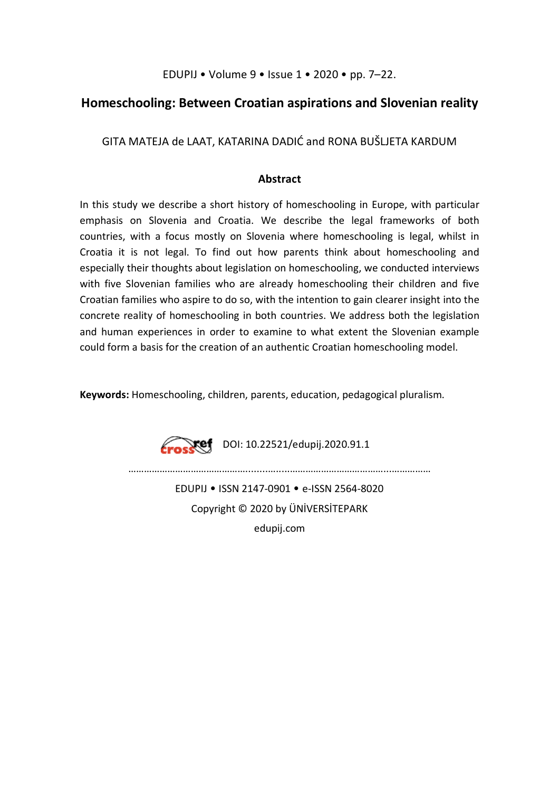EDUPIJ • Volume 9 • Issue 1 • 2020 • pp. 7–22.

## **Homeschooling: Between Croatian aspirations and Slovenian reality**

GITA MATEJA de LAAT, KATARINA DADIĆ and RONA BUŠLJETA KARDUM

## **Abstract**

In this study we describe a short history of homeschooling in Europe, with particular emphasis on Slovenia and Croatia. We describe the legal frameworks of both countries, with a focus mostly on Slovenia where homeschooling is legal, whilst in Croatia it is not legal. To find out how parents think about homeschooling and especially their thoughts about legislation on homeschooling, we conducted interviews with five Slovenian families who are already homeschooling their children and five Croatian families who aspire to do so, with the intention to gain clearer insight into the concrete reality of homeschooling in both countries. We address both the legislation and human experiences in order to examine to what extent the Slovenian example could form a basis for the creation of an authentic Croatian homeschooling model.

**Keywords:** Homeschooling, children, parents, education, pedagogical pluralism.

 $\sqrt{\text{ref}}$  DOI: 10.22521/edupij.2020.91.1

EDUPIJ • ISSN 2147-0901 • e-ISSN 2564-8020 Copyright © 2020 by ÜNİVERSİTEPARK edupij.com

………………………………………........….....………………………………...……………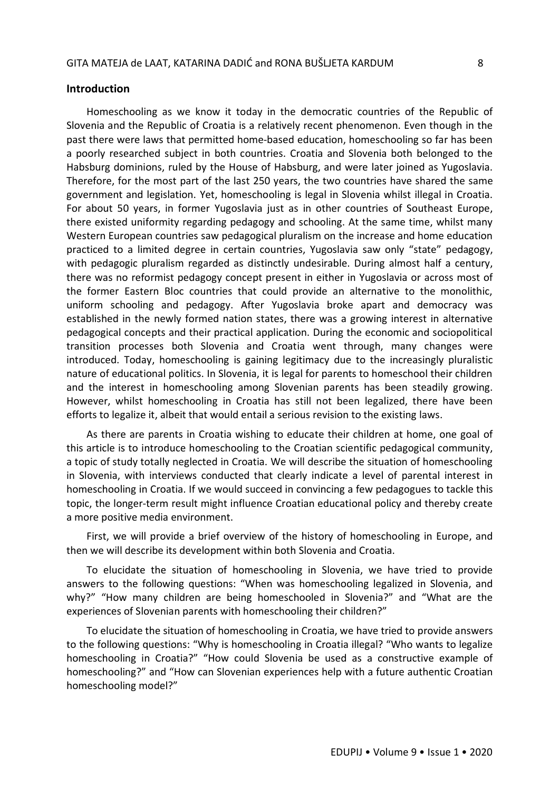#### **Introduction**

Homeschooling as we know it today in the democratic countries of the Republic of Slovenia and the Republic of Croatia is a relatively recent phenomenon. Even though in the past there were laws that permitted home-based education, homeschooling so far has been a poorly researched subject in both countries. Croatia and Slovenia both belonged to the Habsburg dominions, ruled by the House of Habsburg, and were later joined as Yugoslavia. Therefore, for the most part of the last 250 years, the two countries have shared the same government and legislation. Yet, homeschooling is legal in Slovenia whilst illegal in Croatia. For about 50 years, in former Yugoslavia just as in other countries of Southeast Europe, there existed uniformity regarding pedagogy and schooling. At the same time, whilst many Western European countries saw pedagogical pluralism on the increase and home education practiced to a limited degree in certain countries, Yugoslavia saw only "state" pedagogy, with pedagogic pluralism regarded as distinctly undesirable. During almost half a century, there was no reformist pedagogy concept present in either in Yugoslavia or across most of the former Eastern Bloc countries that could provide an alternative to the monolithic, uniform schooling and pedagogy. After Yugoslavia broke apart and democracy was established in the newly formed nation states, there was a growing interest in alternative pedagogical concepts and their practical application. During the economic and sociopolitical transition processes both Slovenia and Croatia went through, many changes were introduced. Today, homeschooling is gaining legitimacy due to the increasingly pluralistic nature of educational politics. In Slovenia, it is legal for parents to homeschool their children and the interest in homeschooling among Slovenian parents has been steadily growing. However, whilst homeschooling in Croatia has still not been legalized, there have been efforts to legalize it, albeit that would entail a serious revision to the existing laws.

As there are parents in Croatia wishing to educate their children at home, one goal of this article is to introduce homeschooling to the Croatian scientific pedagogical community, a topic of study totally neglected in Croatia. We will describe the situation of homeschooling in Slovenia, with interviews conducted that clearly indicate a level of parental interest in homeschooling in Croatia. If we would succeed in convincing a few pedagogues to tackle this topic, the longer-term result might influence Croatian educational policy and thereby create a more positive media environment.

First, we will provide a brief overview of the history of homeschooling in Europe, and then we will describe its development within both Slovenia and Croatia.

To elucidate the situation of homeschooling in Slovenia, we have tried to provide answers to the following questions: "When was homeschooling legalized in Slovenia, and why?" "How many children are being homeschooled in Slovenia?" and "What are the experiences of Slovenian parents with homeschooling their children?"

To elucidate the situation of homeschooling in Croatia, we have tried to provide answers to the following questions: "Why is homeschooling in Croatia illegal? "Who wants to legalize homeschooling in Croatia?" "How could Slovenia be used as a constructive example of homeschooling?" and "How can Slovenian experiences help with a future authentic Croatian homeschooling model?"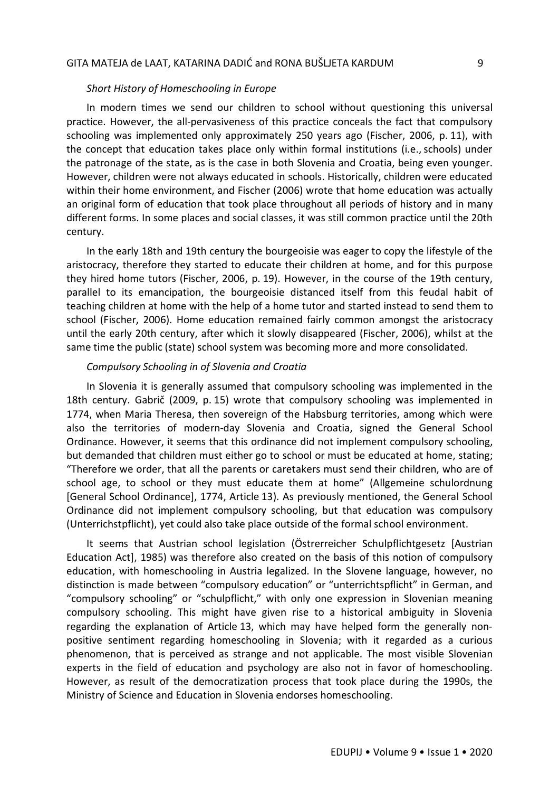#### *Short History of Homeschooling in Europe*

In modern times we send our children to school without questioning this universal practice. However, the all-pervasiveness of this practice conceals the fact that compulsory schooling was implemented only approximately 250 years ago (Fischer, 2006, p. 11), with the concept that education takes place only within formal institutions (i.e., schools) under the patronage of the state, as is the case in both Slovenia and Croatia, being even younger. However, children were not always educated in schools. Historically, children were educated within their home environment, and Fischer (2006) wrote that home education was actually an original form of education that took place throughout all periods of history and in many different forms. In some places and social classes, it was still common practice until the 20th century.

In the early 18th and 19th century the bourgeoisie was eager to copy the lifestyle of the aristocracy, therefore they started to educate their children at home, and for this purpose they hired home tutors (Fischer, 2006, p. 19). However, in the course of the 19th century, parallel to its emancipation, the bourgeoisie distanced itself from this feudal habit of teaching children at home with the help of a home tutor and started instead to send them to school (Fischer, 2006). Home education remained fairly common amongst the aristocracy until the early 20th century, after which it slowly disappeared (Fischer, 2006), whilst at the same time the public (state) school system was becoming more and more consolidated.

#### *Compulsory Schooling in of Slovenia and Croatia*

In Slovenia it is generally assumed that compulsory schooling was implemented in the 18th century. Gabrič (2009, p. 15) wrote that compulsory schooling was implemented in 1774, when Maria Theresa, then sovereign of the Habsburg territories, among which were also the territories of modern-day Slovenia and Croatia, signed the General School Ordinance. However, it seems that this ordinance did not implement compulsory schooling, but demanded that children must either go to school or must be educated at home, stating; "Therefore we order, that all the parents or caretakers must send their children, who are of school age, to school or they must educate them at home" (Allgemeine schulordnung [General School Ordinance], 1774, Article 13). As previously mentioned, the General School Ordinance did not implement compulsory schooling, but that education was compulsory (Unterrichstpflicht), yet could also take place outside of the formal school environment.

It seems that Austrian school legislation (Östrerreicher Schulpflichtgesetz [Austrian Education Act], 1985) was therefore also created on the basis of this notion of compulsory education, with homeschooling in Austria legalized. In the Slovene language, however, no distinction is made between "compulsory education" or "unterrichtspflicht" in German, and "compulsory schooling" or "schulpflicht," with only one expression in Slovenian meaning compulsory schooling. This might have given rise to a historical ambiguity in Slovenia regarding the explanation of Article 13, which may have helped form the generally nonpositive sentiment regarding homeschooling in Slovenia; with it regarded as a curious phenomenon, that is perceived as strange and not applicable. The most visible Slovenian experts in the field of education and psychology are also not in favor of homeschooling. However, as result of the democratization process that took place during the 1990s, the Ministry of Science and Education in Slovenia endorses homeschooling.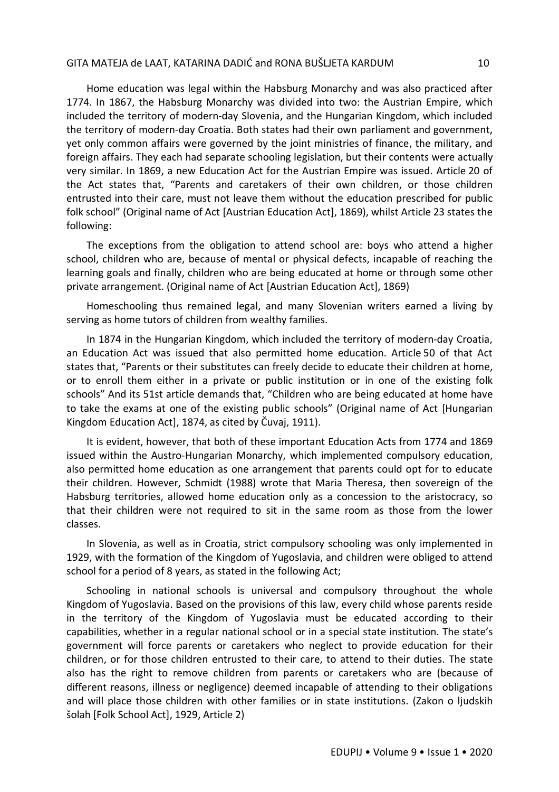Home education was legal within the Habsburg Monarchy and was also practiced after 1774. In 1867, the Habsburg Monarchy was divided into two: the Austrian Empire, which included the territory of modern-day Slovenia, and the Hungarian Kingdom, which included the territory of modern-day Croatia. Both states had their own parliament and government, yet only common affairs were governed by the joint ministries of finance, the military, and foreign affairs. They each had separate schooling legislation, but their contents were actually very similar. In 1869, a new Education Act for the Austrian Empire was issued. Article 20 of the Act states that, "Parents and caretakers of their own children, or those children entrusted into their care, must not leave them without the education prescribed for public folk school" (Original name of Act [Austrian Education Act], 1869), whilst Article 23 states the following:

The exceptions from the obligation to attend school are: boys who attend a higher school, children who are, because of mental or physical defects, incapable of reaching the learning goals and finally, children who are being educated at home or through some other private arrangement. (Original name of Act [Austrian Education Act], 1869)

Homeschooling thus remained legal, and many Slovenian writers earned a living by serving as home tutors of children from wealthy families.

In 1874 in the Hungarian Kingdom, which included the territory of modern-day Croatia, an Education Act was issued that also permitted home education. Article 50 of that Act states that, "Parents or their substitutes can freely decide to educate their children at home, or to enroll them either in a private or public institution or in one of the existing folk schools" And its 51st article demands that, "Children who are being educated at home have to take the exams at one of the existing public schools" (Original name of Act [Hungarian Kingdom Education Act], 1874, as cited by Čuvaj, 1911).

It is evident, however, that both of these important Education Acts from 1774 and 1869 issued within the Austro-Hungarian Monarchy, which implemented compulsory education, also permitted home education as one arrangement that parents could opt for to educate their children. However, Schmidt (1988) wrote that Maria Theresa, then sovereign of the Habsburg territories, allowed home education only as a concession to the aristocracy, so that their children were not required to sit in the same room as those from the lower classes.

In Slovenia, as well as in Croatia, strict compulsory schooling was only implemented in 1929, with the formation of the Kingdom of Yugoslavia, and children were obliged to attend school for a period of 8 years, as stated in the following Act;

Schooling in national schools is universal and compulsory throughout the whole Kingdom of Yugoslavia. Based on the provisions of this law, every child whose parents reside in the territory of the Kingdom of Yugoslavia must be educated according to their capabilities, whether in a regular national school or in a special state institution. The state's government will force parents or caretakers who neglect to provide education for their children, or for those children entrusted to their care, to attend to their duties. The state also has the right to remove children from parents or caretakers who are (because of different reasons, illness or negligence) deemed incapable of attending to their obligations and will place those children with other families or in state institutions. (Zakon o ljudskih šolah [Folk School Act], 1929, Article 2)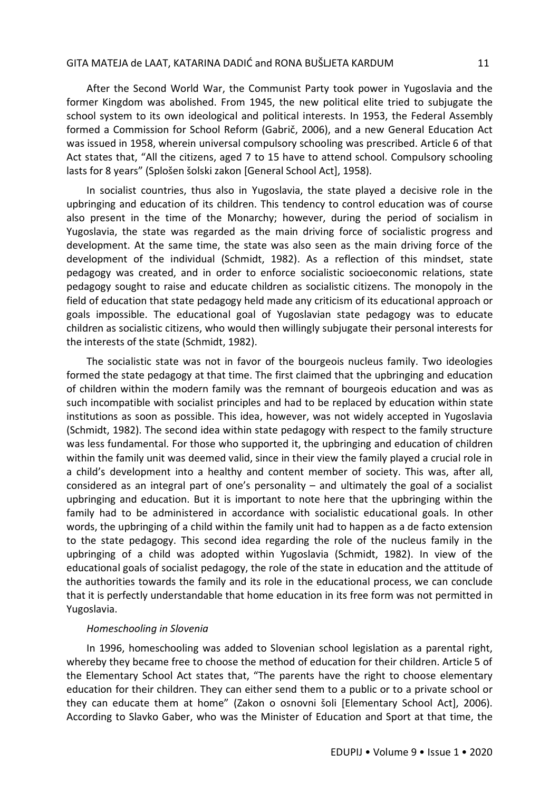After the Second World War, the Communist Party took power in Yugoslavia and the former Kingdom was abolished. From 1945, the new political elite tried to subjugate the school system to its own ideological and political interests. In 1953, the Federal Assembly formed a Commission for School Reform (Gabrič, 2006), and a new General Education Act was issued in 1958, wherein universal compulsory schooling was prescribed. Article 6 of that Act states that, "All the citizens, aged 7 to 15 have to attend school. Compulsory schooling lasts for 8 years" (Splošen šolski zakon [General School Act], 1958).

In socialist countries, thus also in Yugoslavia, the state played a decisive role in the upbringing and education of its children. This tendency to control education was of course also present in the time of the Monarchy; however, during the period of socialism in Yugoslavia, the state was regarded as the main driving force of socialistic progress and development. At the same time, the state was also seen as the main driving force of the development of the individual (Schmidt, 1982). As a reflection of this mindset, state pedagogy was created, and in order to enforce socialistic socioeconomic relations, state pedagogy sought to raise and educate children as socialistic citizens. The monopoly in the field of education that state pedagogy held made any criticism of its educational approach or goals impossible. The educational goal of Yugoslavian state pedagogy was to educate children as socialistic citizens, who would then willingly subjugate their personal interests for the interests of the state (Schmidt, 1982).

The socialistic state was not in favor of the bourgeois nucleus family. Two ideologies formed the state pedagogy at that time. The first claimed that the upbringing and education of children within the modern family was the remnant of bourgeois education and was as such incompatible with socialist principles and had to be replaced by education within state institutions as soon as possible. This idea, however, was not widely accepted in Yugoslavia (Schmidt, 1982). The second idea within state pedagogy with respect to the family structure was less fundamental. For those who supported it, the upbringing and education of children within the family unit was deemed valid, since in their view the family played a crucial role in a child's development into a healthy and content member of society. This was, after all, considered as an integral part of one's personality – and ultimately the goal of a socialist upbringing and education. But it is important to note here that the upbringing within the family had to be administered in accordance with socialistic educational goals. In other words, the upbringing of a child within the family unit had to happen as a de facto extension to the state pedagogy. This second idea regarding the role of the nucleus family in the upbringing of a child was adopted within Yugoslavia (Schmidt, 1982). In view of the educational goals of socialist pedagogy, the role of the state in education and the attitude of the authorities towards the family and its role in the educational process, we can conclude that it is perfectly understandable that home education in its free form was not permitted in Yugoslavia.

#### *Homeschooling in Slovenia*

In 1996, homeschooling was added to Slovenian school legislation as a parental right, whereby they became free to choose the method of education for their children. Article 5 of the Elementary School Act states that, "The parents have the right to choose elementary education for their children. They can either send them to a public or to a private school or they can educate them at home" (Zakon o osnovni šoli [Elementary School Act], 2006). According to Slavko Gaber, who was the Minister of Education and Sport at that time, the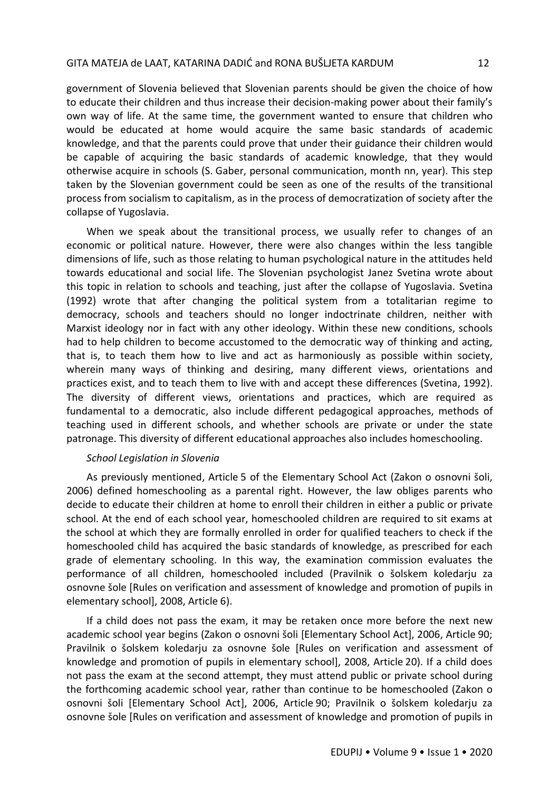government of Slovenia believed that Slovenian parents should be given the choice of how to educate their children and thus increase their decision-making power about their family's own way of life. At the same time, the government wanted to ensure that children who would be educated at home would acquire the same basic standards of academic knowledge, and that the parents could prove that under their guidance their children would be capable of acquiring the basic standards of academic knowledge, that they would otherwise acquire in schools (S. Gaber, personal communication, month nn, year). This step taken by the Slovenian government could be seen as one of the results of the transitional process from socialism to capitalism, as in the process of democratization of society after the collapse of Yugoslavia.

When we speak about the transitional process, we usually refer to changes of an economic or political nature. However, there were also changes within the less tangible dimensions of life, such as those relating to human psychological nature in the attitudes held towards educational and social life. The Slovenian psychologist Janez Svetina wrote about this topic in relation to schools and teaching, just after the collapse of Yugoslavia. Svetina (1992) wrote that after changing the political system from a totalitarian regime to democracy, schools and teachers should no longer indoctrinate children, neither with Marxist ideology nor in fact with any other ideology. Within these new conditions, schools had to help children to become accustomed to the democratic way of thinking and acting, that is, to teach them how to live and act as harmoniously as possible within society, wherein many ways of thinking and desiring, many different views, orientations and practices exist, and to teach them to live with and accept these differences (Svetina, 1992). The diversity of different views, orientations and practices, which are required as fundamental to a democratic, also include different pedagogical approaches, methods of teaching used in different schools, and whether schools are private or under the state patronage. This diversity of different educational approaches also includes homeschooling.

### *School Legislation in Slovenia*

As previously mentioned, Article 5 of the Elementary School Act (Zakon o osnovni šoli, 2006) defined homeschooling as a parental right. However, the law obliges parents who decide to educate their children at home to enroll their children in either a public or private school. At the end of each school year, homeschooled children are required to sit exams at the school at which they are formally enrolled in order for qualified teachers to check if the homeschooled child has acquired the basic standards of knowledge, as prescribed for each grade of elementary schooling. In this way, the examination commission evaluates the performance of all children, homeschooled included (Pravilnik o šolskem koledarju za osnovne šole [Rules on verification and assessment of knowledge and promotion of pupils in elementary school], 2008, Article 6).

If a child does not pass the exam, it may be retaken once more before the next new academic school year begins (Zakon o osnovni šoli [Elementary School Act], 2006, Article 90; Pravilnik o šolskem koledarju za osnovne šole [Rules on verification and assessment of knowledge and promotion of pupils in elementary school], 2008, Article 20). If a child does not pass the exam at the second attempt, they must attend public or private school during the forthcoming academic school year, rather than continue to be homeschooled (Zakon o osnovni šoli [Elementary School Act], 2006, Article 90; Pravilnik o šolskem koledarju za osnovne šole [Rules on verification and assessment of knowledge and promotion of pupils in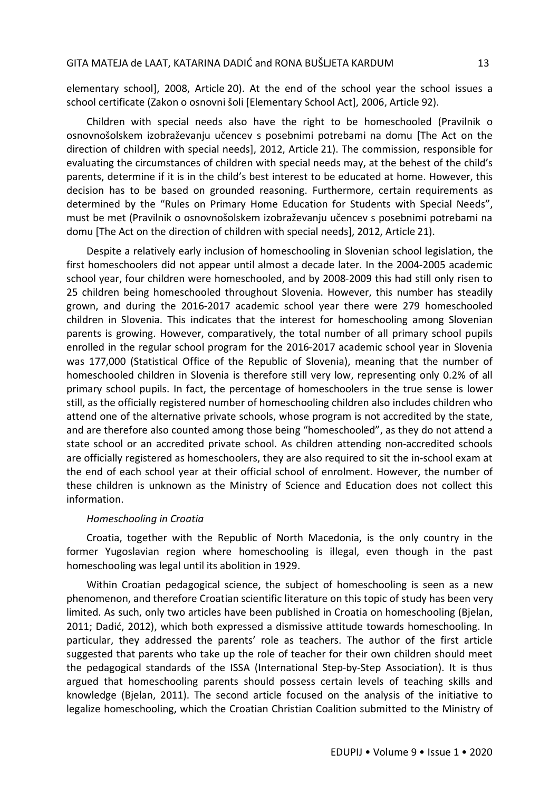elementary school], 2008, Article 20). At the end of the school year the school issues a school certificate (Zakon o osnovni šoli [Elementary School Act], 2006, Article 92).

Children with special needs also have the right to be homeschooled (Pravilnik o osnovnošolskem izobraževanju učencev s posebnimi potrebami na domu [The Act on the direction of children with special needs], 2012, Article 21). The commission, responsible for evaluating the circumstances of children with special needs may, at the behest of the child's parents, determine if it is in the child's best interest to be educated at home. However, this decision has to be based on grounded reasoning. Furthermore, certain requirements as determined by the "Rules on Primary Home Education for Students with Special Needs", must be met (Pravilnik o osnovnošolskem izobraževanju učencev s posebnimi potrebami na domu [The Act on the direction of children with special needs], 2012, Article 21).

Despite a relatively early inclusion of homeschooling in Slovenian school legislation, the first homeschoolers did not appear until almost a decade later. In the 2004-2005 academic school year, four children were homeschooled, and by 2008-2009 this had still only risen to 25 children being homeschooled throughout Slovenia. However, this number has steadily grown, and during the 2016-2017 academic school year there were 279 homeschooled children in Slovenia. This indicates that the interest for homeschooling among Slovenian parents is growing. However, comparatively, the total number of all primary school pupils enrolled in the regular school program for the 2016-2017 academic school year in Slovenia was 177,000 (Statistical Office of the Republic of Slovenia), meaning that the number of homeschooled children in Slovenia is therefore still very low, representing only 0.2% of all primary school pupils. In fact, the percentage of homeschoolers in the true sense is lower still, as the officially registered number of homeschooling children also includes children who attend one of the alternative private schools, whose program is not accredited by the state, and are therefore also counted among those being "homeschooled", as they do not attend a state school or an accredited private school. As children attending non-accredited schools are officially registered as homeschoolers, they are also required to sit the in-school exam at the end of each school year at their official school of enrolment. However, the number of these children is unknown as the Ministry of Science and Education does not collect this information.

#### *Homeschooling in Croatia*

Croatia, together with the Republic of North Macedonia, is the only country in the former Yugoslavian region where homeschooling is illegal, even though in the past homeschooling was legal until its abolition in 1929.

Within Croatian pedagogical science, the subject of homeschooling is seen as a new phenomenon, and therefore Croatian scientific literature on this topic of study has been very limited. As such, only two articles have been published in Croatia on homeschooling (Bjelan, 2011; Dadić, 2012), which both expressed a dismissive attitude towards homeschooling. In particular, they addressed the parents' role as teachers. The author of the first article suggested that parents who take up the role of teacher for their own children should meet the pedagogical standards of the ISSA (International Step-by-Step Association). It is thus argued that homeschooling parents should possess certain levels of teaching skills and knowledge (Bjelan, 2011). The second article focused on the analysis of the initiative to legalize homeschooling, which the Croatian Christian Coalition submitted to the Ministry of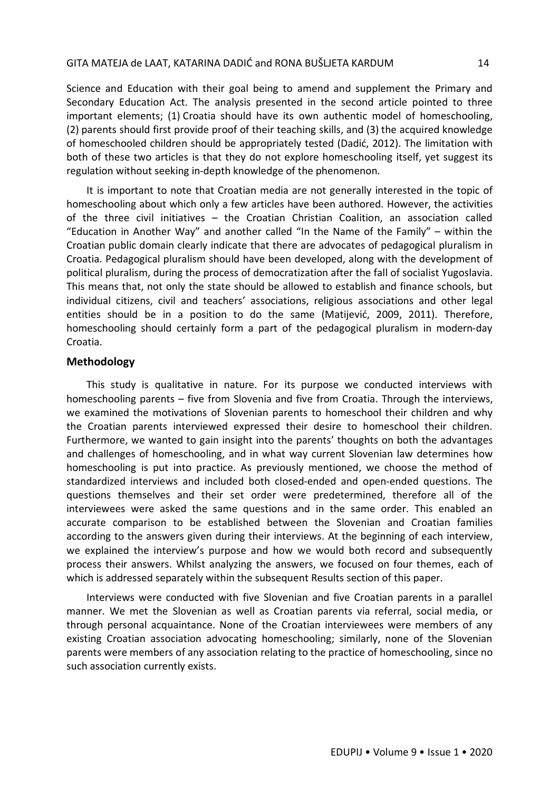Science and Education with their goal being to amend and supplement the Primary and Secondary Education Act. The analysis presented in the second article pointed to three important elements; (1) Croatia should have its own authentic model of homeschooling, (2) parents should first provide proof of their teaching skills, and (3) the acquired knowledge of homeschooled children should be appropriately tested (Dadić, 2012). The limitation with both of these two articles is that they do not explore homeschooling itself, yet suggest its regulation without seeking in-depth knowledge of the phenomenon.

It is important to note that Croatian media are not generally interested in the topic of homeschooling about which only a few articles have been authored. However, the activities of the three civil initiatives – the Croatian Christian Coalition, an association called "Education in Another Way" and another called "In the Name of the Family" – within the Croatian public domain clearly indicate that there are advocates of pedagogical pluralism in Croatia. Pedagogical pluralism should have been developed, along with the development of political pluralism, during the process of democratization after the fall of socialist Yugoslavia. This means that, not only the state should be allowed to establish and finance schools, but individual citizens, civil and teachers' associations, religious associations and other legal entities should be in a position to do the same (Matijević, 2009, 2011). Therefore, homeschooling should certainly form a part of the pedagogical pluralism in modern-day Croatia.

### **Methodology**

This study is qualitative in nature. For its purpose we conducted interviews with homeschooling parents – five from Slovenia and five from Croatia. Through the interviews, we examined the motivations of Slovenian parents to homeschool their children and why the Croatian parents interviewed expressed their desire to homeschool their children. Furthermore, we wanted to gain insight into the parents' thoughts on both the advantages and challenges of homeschooling, and in what way current Slovenian law determines how homeschooling is put into practice. As previously mentioned, we choose the method of standardized interviews and included both closed-ended and open-ended questions. The questions themselves and their set order were predetermined, therefore all of the interviewees were asked the same questions and in the same order. This enabled an accurate comparison to be established between the Slovenian and Croatian families according to the answers given during their interviews. At the beginning of each interview, we explained the interview's purpose and how we would both record and subsequently process their answers. Whilst analyzing the answers, we focused on four themes, each of which is addressed separately within the subsequent Results section of this paper.

Interviews were conducted with five Slovenian and five Croatian parents in a parallel manner. We met the Slovenian as well as Croatian parents via referral, social media, or through personal acquaintance. None of the Croatian interviewees were members of any existing Croatian association advocating homeschooling; similarly, none of the Slovenian parents were members of any association relating to the practice of homeschooling, since no such association currently exists.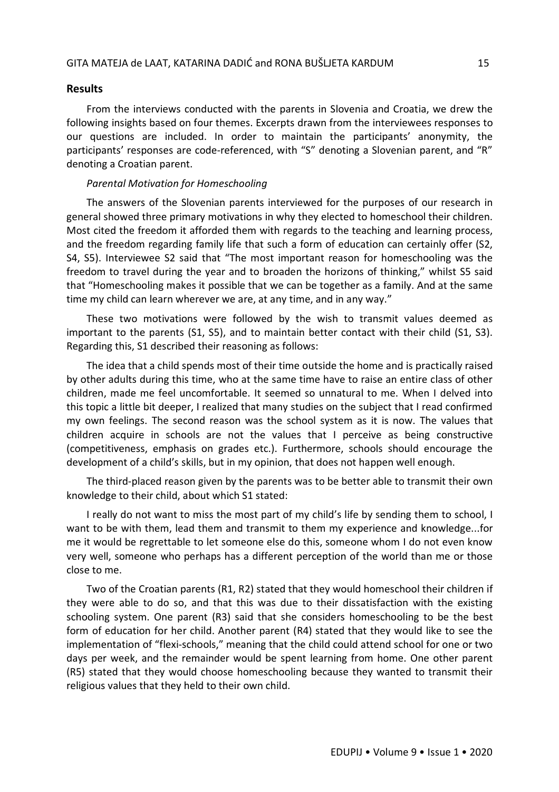### **Results**

From the interviews conducted with the parents in Slovenia and Croatia, we drew the following insights based on four themes. Excerpts drawn from the interviewees responses to our questions are included. In order to maintain the participants' anonymity, the participants' responses are code-referenced, with "S" denoting a Slovenian parent, and "R" denoting a Croatian parent.

#### *Parental Motivation for Homeschooling*

The answers of the Slovenian parents interviewed for the purposes of our research in general showed three primary motivations in why they elected to homeschool their children. Most cited the freedom it afforded them with regards to the teaching and learning process, and the freedom regarding family life that such a form of education can certainly offer (S2, S4, S5). Interviewee S2 said that "The most important reason for homeschooling was the freedom to travel during the year and to broaden the horizons of thinking," whilst S5 said that "Homeschooling makes it possible that we can be together as a family. And at the same time my child can learn wherever we are, at any time, and in any way."

These two motivations were followed by the wish to transmit values deemed as important to the parents (S1, S5), and to maintain better contact with their child (S1, S3). Regarding this, S1 described their reasoning as follows:

The idea that a child spends most of their time outside the home and is practically raised by other adults during this time, who at the same time have to raise an entire class of other children, made me feel uncomfortable. It seemed so unnatural to me. When I delved into this topic a little bit deeper, I realized that many studies on the subject that I read confirmed my own feelings. The second reason was the school system as it is now. The values that children acquire in schools are not the values that I perceive as being constructive (competitiveness, emphasis on grades etc.). Furthermore, schools should encourage the development of a child's skills, but in my opinion, that does not happen well enough.

The third-placed reason given by the parents was to be better able to transmit their own knowledge to their child, about which S1 stated:

I really do not want to miss the most part of my child's life by sending them to school, I want to be with them, lead them and transmit to them my experience and knowledge...for me it would be regrettable to let someone else do this, someone whom I do not even know very well, someone who perhaps has a different perception of the world than me or those close to me.

Two of the Croatian parents (R1, R2) stated that they would homeschool their children if they were able to do so, and that this was due to their dissatisfaction with the existing schooling system. One parent (R3) said that she considers homeschooling to be the best form of education for her child. Another parent (R4) stated that they would like to see the implementation of "flexi-schools," meaning that the child could attend school for one or two days per week, and the remainder would be spent learning from home. One other parent (R5) stated that they would choose homeschooling because they wanted to transmit their religious values that they held to their own child.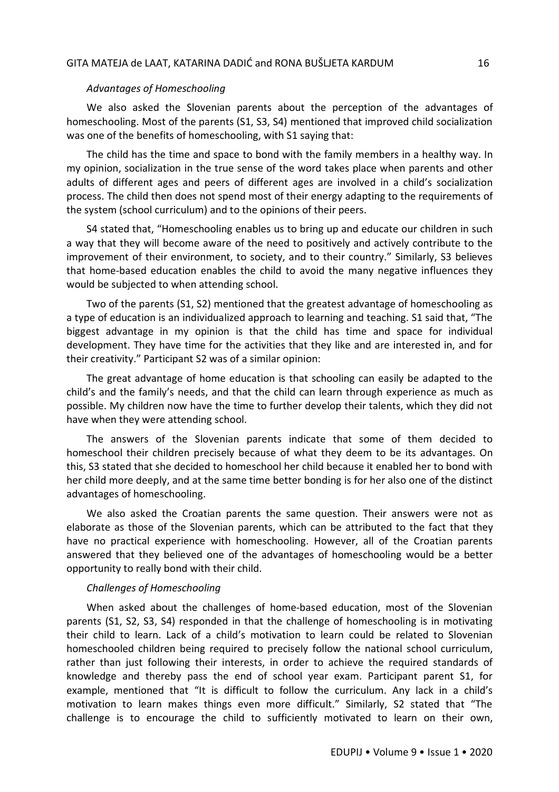#### *Advantages of Homeschooling*

We also asked the Slovenian parents about the perception of the advantages of homeschooling. Most of the parents (S1, S3, S4) mentioned that improved child socialization was one of the benefits of homeschooling, with S1 saying that:

The child has the time and space to bond with the family members in a healthy way. In my opinion, socialization in the true sense of the word takes place when parents and other adults of different ages and peers of different ages are involved in a child's socialization process. The child then does not spend most of their energy adapting to the requirements of the system (school curriculum) and to the opinions of their peers.

S4 stated that, "Homeschooling enables us to bring up and educate our children in such a way that they will become aware of the need to positively and actively contribute to the improvement of their environment, to society, and to their country." Similarly, S3 believes that home-based education enables the child to avoid the many negative influences they would be subjected to when attending school.

Two of the parents (S1, S2) mentioned that the greatest advantage of homeschooling as a type of education is an individualized approach to learning and teaching. S1 said that, "The biggest advantage in my opinion is that the child has time and space for individual development. They have time for the activities that they like and are interested in, and for their creativity." Participant S2 was of a similar opinion:

The great advantage of home education is that schooling can easily be adapted to the child's and the family's needs, and that the child can learn through experience as much as possible. My children now have the time to further develop their talents, which they did not have when they were attending school.

The answers of the Slovenian parents indicate that some of them decided to homeschool their children precisely because of what they deem to be its advantages. On this, S3 stated that she decided to homeschool her child because it enabled her to bond with her child more deeply, and at the same time better bonding is for her also one of the distinct advantages of homeschooling.

We also asked the Croatian parents the same question. Their answers were not as elaborate as those of the Slovenian parents, which can be attributed to the fact that they have no practical experience with homeschooling. However, all of the Croatian parents answered that they believed one of the advantages of homeschooling would be a better opportunity to really bond with their child.

#### *Challenges of Homeschooling*

When asked about the challenges of home-based education, most of the Slovenian parents (S1, S2, S3, S4) responded in that the challenge of homeschooling is in motivating their child to learn. Lack of a child's motivation to learn could be related to Slovenian homeschooled children being required to precisely follow the national school curriculum, rather than just following their interests, in order to achieve the required standards of knowledge and thereby pass the end of school year exam. Participant parent S1, for example, mentioned that "It is difficult to follow the curriculum. Any lack in a child's motivation to learn makes things even more difficult." Similarly, S2 stated that "The challenge is to encourage the child to sufficiently motivated to learn on their own,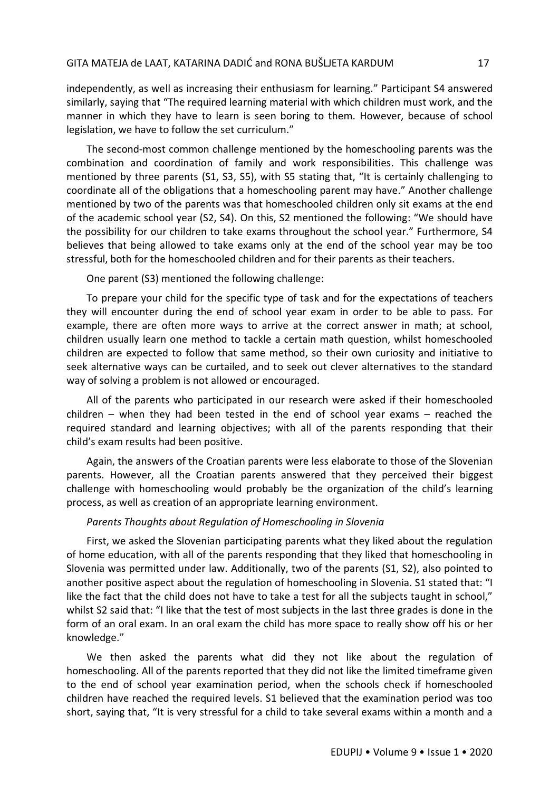independently, as well as increasing their enthusiasm for learning." Participant S4 answered similarly, saying that "The required learning material with which children must work, and the manner in which they have to learn is seen boring to them. However, because of school legislation, we have to follow the set curriculum."

The second-most common challenge mentioned by the homeschooling parents was the combination and coordination of family and work responsibilities. This challenge was mentioned by three parents (S1, S3, S5), with S5 stating that, "It is certainly challenging to coordinate all of the obligations that a homeschooling parent may have." Another challenge mentioned by two of the parents was that homeschooled children only sit exams at the end of the academic school year (S2, S4). On this, S2 mentioned the following: "We should have the possibility for our children to take exams throughout the school year." Furthermore, S4 believes that being allowed to take exams only at the end of the school year may be too stressful, both for the homeschooled children and for their parents as their teachers.

One parent (S3) mentioned the following challenge:

To prepare your child for the specific type of task and for the expectations of teachers they will encounter during the end of school year exam in order to be able to pass. For example, there are often more ways to arrive at the correct answer in math; at school, children usually learn one method to tackle a certain math question, whilst homeschooled children are expected to follow that same method, so their own curiosity and initiative to seek alternative ways can be curtailed, and to seek out clever alternatives to the standard way of solving a problem is not allowed or encouraged.

All of the parents who participated in our research were asked if their homeschooled children – when they had been tested in the end of school year exams – reached the required standard and learning objectives; with all of the parents responding that their child's exam results had been positive.

Again, the answers of the Croatian parents were less elaborate to those of the Slovenian parents. However, all the Croatian parents answered that they perceived their biggest challenge with homeschooling would probably be the organization of the child's learning process, as well as creation of an appropriate learning environment.

## *Parents Thoughts about Regulation of Homeschooling in Slovenia*

First, we asked the Slovenian participating parents what they liked about the regulation of home education, with all of the parents responding that they liked that homeschooling in Slovenia was permitted under law. Additionally, two of the parents (S1, S2), also pointed to another positive aspect about the regulation of homeschooling in Slovenia. S1 stated that: "I like the fact that the child does not have to take a test for all the subjects taught in school," whilst S2 said that: "I like that the test of most subjects in the last three grades is done in the form of an oral exam. In an oral exam the child has more space to really show off his or her knowledge."

We then asked the parents what did they not like about the regulation of homeschooling. All of the parents reported that they did not like the limited timeframe given to the end of school year examination period, when the schools check if homeschooled children have reached the required levels. S1 believed that the examination period was too short, saying that, "It is very stressful for a child to take several exams within a month and a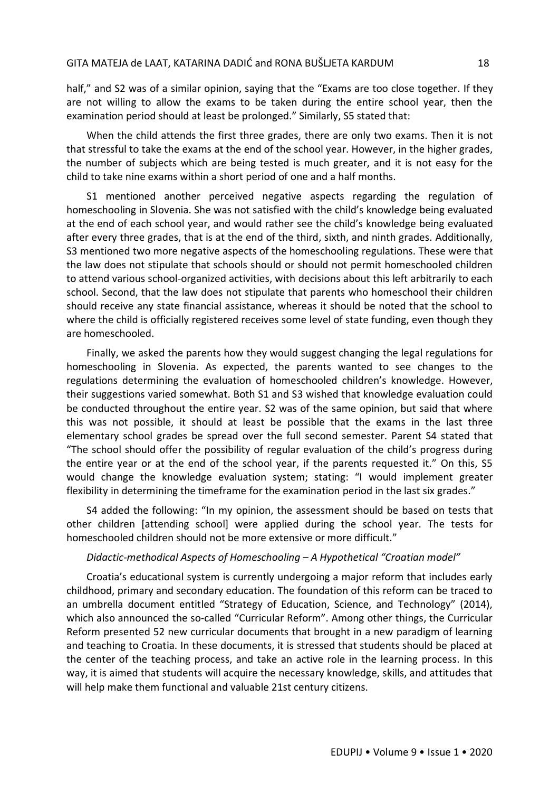half," and S2 was of a similar opinion, saying that the "Exams are too close together. If they are not willing to allow the exams to be taken during the entire school year, then the examination period should at least be prolonged." Similarly, S5 stated that:

When the child attends the first three grades, there are only two exams. Then it is not that stressful to take the exams at the end of the school year. However, in the higher grades, the number of subjects which are being tested is much greater, and it is not easy for the child to take nine exams within a short period of one and a half months.

S1 mentioned another perceived negative aspects regarding the regulation of homeschooling in Slovenia. She was not satisfied with the child's knowledge being evaluated at the end of each school year, and would rather see the child's knowledge being evaluated after every three grades, that is at the end of the third, sixth, and ninth grades. Additionally, S3 mentioned two more negative aspects of the homeschooling regulations. These were that the law does not stipulate that schools should or should not permit homeschooled children to attend various school-organized activities, with decisions about this left arbitrarily to each school. Second, that the law does not stipulate that parents who homeschool their children should receive any state financial assistance, whereas it should be noted that the school to where the child is officially registered receives some level of state funding, even though they are homeschooled.

Finally, we asked the parents how they would suggest changing the legal regulations for homeschooling in Slovenia. As expected, the parents wanted to see changes to the regulations determining the evaluation of homeschooled children's knowledge. However, their suggestions varied somewhat. Both S1 and S3 wished that knowledge evaluation could be conducted throughout the entire year. S2 was of the same opinion, but said that where this was not possible, it should at least be possible that the exams in the last three elementary school grades be spread over the full second semester. Parent S4 stated that "The school should offer the possibility of regular evaluation of the child's progress during the entire year or at the end of the school year, if the parents requested it." On this, S5 would change the knowledge evaluation system; stating: "I would implement greater flexibility in determining the timeframe for the examination period in the last six grades."

S4 added the following: "In my opinion, the assessment should be based on tests that other children [attending school] were applied during the school year. The tests for homeschooled children should not be more extensive or more difficult."

### *Didactic-methodical Aspects of Homeschooling – A Hypothetical "Croatian model"*

Croatia's educational system is currently undergoing a major reform that includes early childhood, primary and secondary education. The foundation of this reform can be traced to an umbrella document entitled "Strategy of Education, Science, and Technology" (2014), which also announced the so-called "Curricular Reform". Among other things, the Curricular Reform presented 52 new curricular documents that brought in a new paradigm of learning and teaching to Croatia. In these documents, it is stressed that students should be placed at the center of the teaching process, and take an active role in the learning process. In this way, it is aimed that students will acquire the necessary knowledge, skills, and attitudes that will help make them functional and valuable 21st century citizens.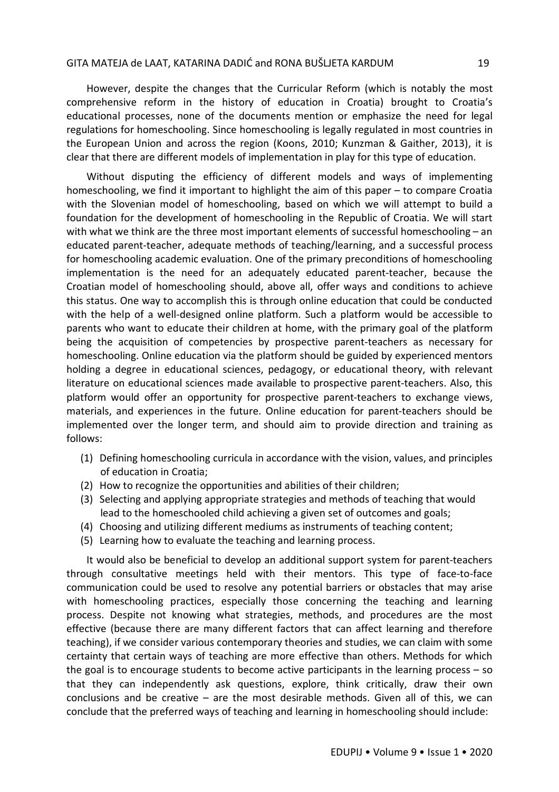However, despite the changes that the Curricular Reform (which is notably the most comprehensive reform in the history of education in Croatia) brought to Croatia's educational processes, none of the documents mention or emphasize the need for legal regulations for homeschooling. Since homeschooling is legally regulated in most countries in the European Union and across the region (Koons, 2010; Kunzman & Gaither, 2013), it is clear that there are different models of implementation in play for this type of education.

Without disputing the efficiency of different models and ways of implementing homeschooling, we find it important to highlight the aim of this paper – to compare Croatia with the Slovenian model of homeschooling, based on which we will attempt to build a foundation for the development of homeschooling in the Republic of Croatia. We will start with what we think are the three most important elements of successful homeschooling – an educated parent-teacher, adequate methods of teaching/learning, and a successful process for homeschooling academic evaluation. One of the primary preconditions of homeschooling implementation is the need for an adequately educated parent-teacher, because the Croatian model of homeschooling should, above all, offer ways and conditions to achieve this status. One way to accomplish this is through online education that could be conducted with the help of a well-designed online platform. Such a platform would be accessible to parents who want to educate their children at home, with the primary goal of the platform being the acquisition of competencies by prospective parent-teachers as necessary for homeschooling. Online education via the platform should be guided by experienced mentors holding a degree in educational sciences, pedagogy, or educational theory, with relevant literature on educational sciences made available to prospective parent-teachers. Also, this platform would offer an opportunity for prospective parent-teachers to exchange views, materials, and experiences in the future. Online education for parent-teachers should be implemented over the longer term, and should aim to provide direction and training as follows:

- (1) Defining homeschooling curricula in accordance with the vision, values, and principles of education in Croatia;
- (2) How to recognize the opportunities and abilities of their children;
- (3) Selecting and applying appropriate strategies and methods of teaching that would lead to the homeschooled child achieving a given set of outcomes and goals;
- (4) Choosing and utilizing different mediums as instruments of teaching content;
- (5) Learning how to evaluate the teaching and learning process.

It would also be beneficial to develop an additional support system for parent-teachers through consultative meetings held with their mentors. This type of face-to-face communication could be used to resolve any potential barriers or obstacles that may arise with homeschooling practices, especially those concerning the teaching and learning process. Despite not knowing what strategies, methods, and procedures are the most effective (because there are many different factors that can affect learning and therefore teaching), if we consider various contemporary theories and studies, we can claim with some certainty that certain ways of teaching are more effective than others. Methods for which the goal is to encourage students to become active participants in the learning process – so that they can independently ask questions, explore, think critically, draw their own conclusions and be creative  $-$  are the most desirable methods. Given all of this, we can conclude that the preferred ways of teaching and learning in homeschooling should include: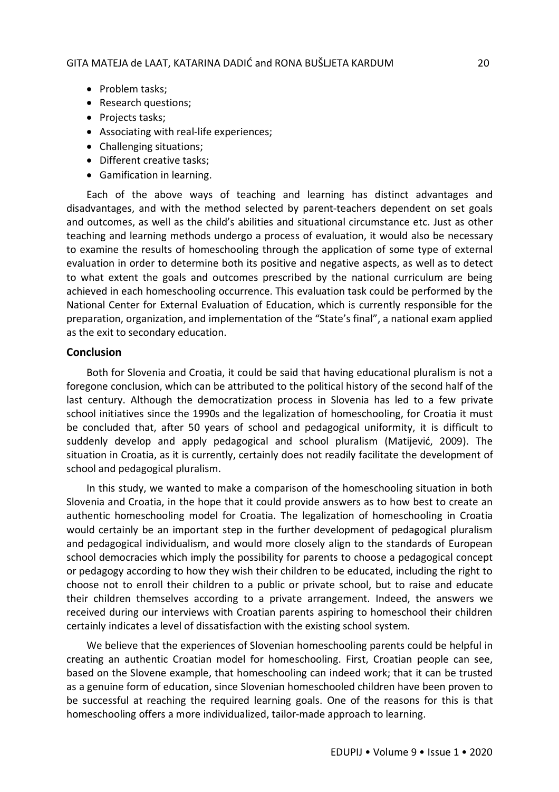- Problem tasks:
- Research questions;
- Projects tasks;
- Associating with real-life experiences;
- Challenging situations;
- Different creative tasks;
- Gamification in learning.

Each of the above ways of teaching and learning has distinct advantages and disadvantages, and with the method selected by parent-teachers dependent on set goals and outcomes, as well as the child's abilities and situational circumstance etc. Just as other teaching and learning methods undergo a process of evaluation, it would also be necessary to examine the results of homeschooling through the application of some type of external evaluation in order to determine both its positive and negative aspects, as well as to detect to what extent the goals and outcomes prescribed by the national curriculum are being achieved in each homeschooling occurrence. This evaluation task could be performed by the National Center for External Evaluation of Education, which is currently responsible for the preparation, organization, and implementation of the "State's final", a national exam applied as the exit to secondary education.

## **Conclusion**

Both for Slovenia and Croatia, it could be said that having educational pluralism is not a foregone conclusion, which can be attributed to the political history of the second half of the last century. Although the democratization process in Slovenia has led to a few private school initiatives since the 1990s and the legalization of homeschooling, for Croatia it must be concluded that, after 50 years of school and pedagogical uniformity, it is difficult to suddenly develop and apply pedagogical and school pluralism (Matijević, 2009). The situation in Croatia, as it is currently, certainly does not readily facilitate the development of school and pedagogical pluralism.

In this study, we wanted to make a comparison of the homeschooling situation in both Slovenia and Croatia, in the hope that it could provide answers as to how best to create an authentic homeschooling model for Croatia. The legalization of homeschooling in Croatia would certainly be an important step in the further development of pedagogical pluralism and pedagogical individualism, and would more closely align to the standards of European school democracies which imply the possibility for parents to choose a pedagogical concept or pedagogy according to how they wish their children to be educated, including the right to choose not to enroll their children to a public or private school, but to raise and educate their children themselves according to a private arrangement. Indeed, the answers we received during our interviews with Croatian parents aspiring to homeschool their children certainly indicates a level of dissatisfaction with the existing school system.

We believe that the experiences of Slovenian homeschooling parents could be helpful in creating an authentic Croatian model for homeschooling. First, Croatian people can see, based on the Slovene example, that homeschooling can indeed work; that it can be trusted as a genuine form of education, since Slovenian homeschooled children have been proven to be successful at reaching the required learning goals. One of the reasons for this is that homeschooling offers a more individualized, tailor-made approach to learning.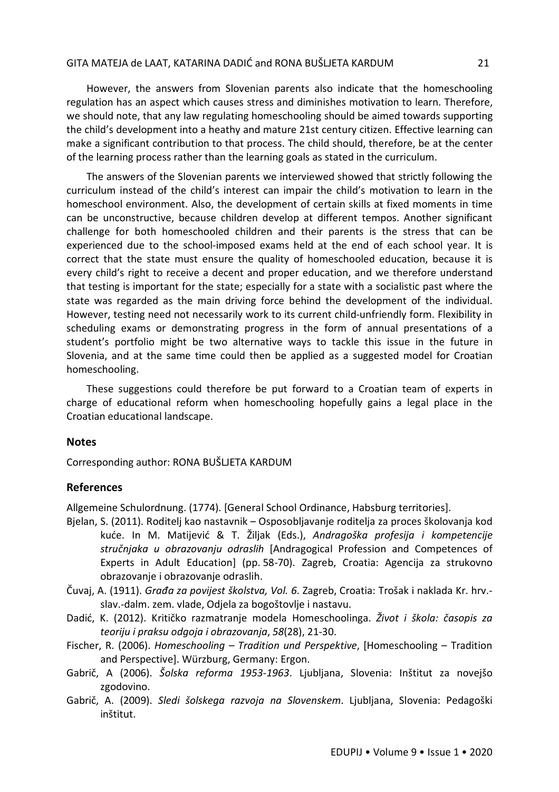However, the answers from Slovenian parents also indicate that the homeschooling regulation has an aspect which causes stress and diminishes motivation to learn. Therefore, we should note, that any law regulating homeschooling should be aimed towards supporting the child's development into a heathy and mature 21st century citizen. Effective learning can make a significant contribution to that process. The child should, therefore, be at the center of the learning process rather than the learning goals as stated in the curriculum.

The answers of the Slovenian parents we interviewed showed that strictly following the curriculum instead of the child's interest can impair the child's motivation to learn in the homeschool environment. Also, the development of certain skills at fixed moments in time can be unconstructive, because children develop at different tempos. Another significant challenge for both homeschooled children and their parents is the stress that can be experienced due to the school-imposed exams held at the end of each school year. It is correct that the state must ensure the quality of homeschooled education, because it is every child's right to receive a decent and proper education, and we therefore understand that testing is important for the state; especially for a state with a socialistic past where the state was regarded as the main driving force behind the development of the individual. However, testing need not necessarily work to its current child-unfriendly form. Flexibility in scheduling exams or demonstrating progress in the form of annual presentations of a student's portfolio might be two alternative ways to tackle this issue in the future in Slovenia, and at the same time could then be applied as a suggested model for Croatian homeschooling.

These suggestions could therefore be put forward to a Croatian team of experts in charge of educational reform when homeschooling hopefully gains a legal place in the Croatian educational landscape.

## **Notes**

Corresponding author: RONA BUŠLJETA KARDUM

## **References**

Allgemeine Schulordnung. (1774). [General School Ordinance, Habsburg territories].

- Bjelan, S. (2011). Roditelj kao nastavnik Osposobljavanje roditelja za proces školovanja kod kuće. In M. Matijević & T. Žiljak (Eds.), *Andragoška profesija i kompetencije stručnjaka u obrazovanju odraslih* [Andragogical Profession and Competences of Experts in Adult Education] (pp. 58-70). Zagreb, Croatia: Agencija za strukovno obrazovanje i obrazovanje odraslih.
- Čuvaj, A. (1911). *Građa za povijest školstva, Vol. 6*. Zagreb, Croatia: Trošak i naklada Kr. hrv. slav.-dalm. zem. vlade, Odjela za bogoštovlje i nastavu.
- Dadić, K. (2012). Kritičko razmatranje modela Homeschoolinga. *Život i škola: časopis za teoriju i praksu odgoja i obrazovanja*, *58*(28), 21-30.
- Fischer, R. (2006). *Homeschooling – Tradition und Perspektive*, [Homeschooling Tradition and Perspective]. Würzburg, Germany: Ergon.
- Gabrič, A (2006). *Šolska reforma 1953-1963*. Ljubljana, Slovenia: Inštitut za novejšo zgodovino.
- Gabrič, A. (2009). *Sledi šolskega razvoja na Slovenskem*. Ljubljana, Slovenia: Pedagoški inštitut.